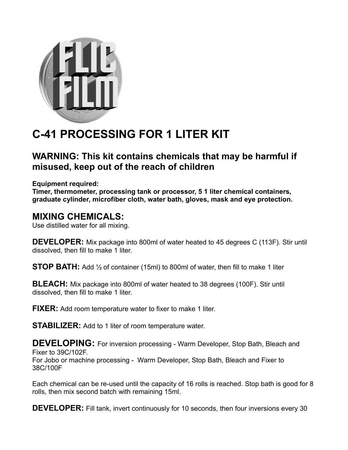

## **C-41 PROCESSING FOR 1 LITER KIT**

## **WARNING: This kit contains chemicals that may be harmful if misused, keep out of the reach of children**

**Equipment required:**

**Timer, thermometer, processing tank or processor, 5 1 liter chemical containers, graduate cylinder, microfiber cloth, water bath, gloves, mask and eye protection.**

## **MIXING CHEMICALS:**

Use distilled water for all mixing.

**DEVELOPER:** Mix package into 800ml of water heated to 45 degrees C (113F). Stir until dissolved, then fill to make 1 liter.

**STOP BATH:** Add 1/2 of container (15ml) to 800ml of water, then fill to make 1 liter

**BLEACH:** Mix package into 800ml of water heated to 38 degrees (100F). Stir until dissolved, then fill to make 1 liter.

**FIXER:** Add room temperature water to fixer to make 1 liter.

**STABILIZER:** Add to 1 liter of room temperature water.

**DEVELOPING:** For inversion processing - Warm Developer, Stop Bath, Bleach and Fixer to 39C/102F. For Jobo or machine processing - Warm Developer, Stop Bath, Bleach and Fixer to 38C/100F

Each chemical can be re-used until the capacity of 16 rolls is reached. Stop bath is good for 8 rolls, then mix second batch with remaining 15ml.

**DEVELOPER:** Fill tank, invert continuously for 10 seconds, then four inversions every 30